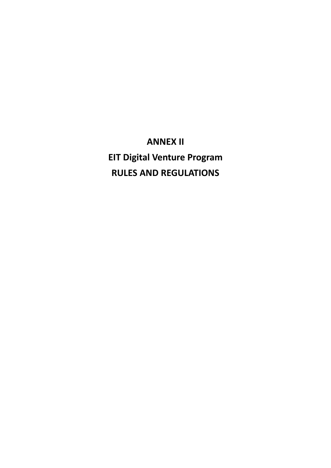**ANNEX II EIT Digital Venture Program RULES AND REGULATIONS**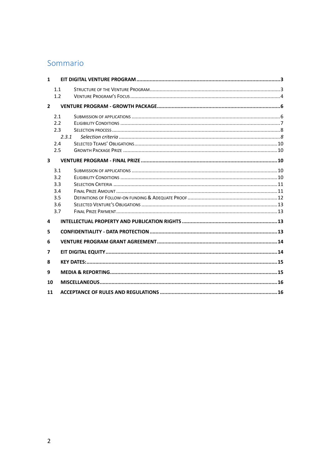# Sommario

| 2.3.1 |                                                                                                |  |  |
|-------|------------------------------------------------------------------------------------------------|--|--|
|       |                                                                                                |  |  |
|       |                                                                                                |  |  |
|       |                                                                                                |  |  |
|       |                                                                                                |  |  |
|       |                                                                                                |  |  |
|       |                                                                                                |  |  |
|       |                                                                                                |  |  |
|       |                                                                                                |  |  |
|       |                                                                                                |  |  |
|       |                                                                                                |  |  |
|       |                                                                                                |  |  |
|       |                                                                                                |  |  |
| 6     |                                                                                                |  |  |
| 7     |                                                                                                |  |  |
| 8     |                                                                                                |  |  |
| 9     |                                                                                                |  |  |
| 10    |                                                                                                |  |  |
| 11    |                                                                                                |  |  |
|       | 1.1<br>1.2<br>2.1<br>2.2<br>2.3<br>2.4<br>2.5<br>3.1<br>3.2<br>3.3<br>3.4<br>3.5<br>3.6<br>3.7 |  |  |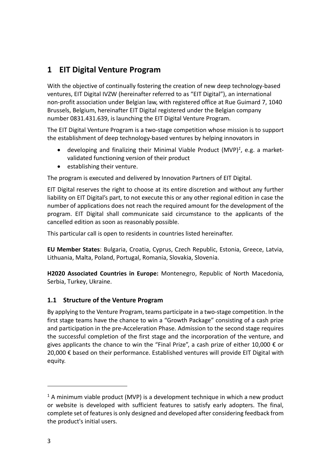# <span id="page-2-0"></span>**1 EIT Digital Venture Program**

With the objective of continually fostering the creation of new deep technology-based ventures, EIT Digital IVZW (hereinafter referred to as "EIT Digital"), an international non-profit association under Belgian law, with registered office at Rue Guimard 7, 1040 Brussels, Belgium, hereinafter EIT Digital registered under the Belgian company number 0831.431.639, is launching the EIT Digital Venture Program.

The EIT Digital Venture Program is a two-stage competition whose mission is to support the establishment of deep technology-based ventures by helping innovators in

- developing and finalizing their Minimal Viable Product (MVP)*<sup>1</sup>* , e.g. a marketvalidated functioning version of their product
- establishing their venture.

The program is executed and delivered by Innovation Partners of EIT Digital.

EIT Digital reserves the right to choose at its entire discretion and without any further liability on EIT Digital's part, to not execute this or any other regional edition in case the number of applications does not reach the required amount for the development of the program. EIT Digital shall communicate said circumstance to the applicants of the cancelled edition as soon as reasonably possible.

This particular call is open to residents in countries listed hereinafter.

**EU Member States**: Bulgaria, Croatia, Cyprus, Czech Republic, Estonia, Greece, Latvia, Lithuania, Malta, Poland, Portugal, Romania, Slovakia, Slovenia.

**H2020 Associated Countries in Europe:** Montenegro, Republic of North Macedonia, Serbia, Turkey, Ukraine.

### <span id="page-2-1"></span>**1.1 Structure of the Venture Program**

By applying to the Venture Program, teams participate in a two-stage competition. In the first stage teams have the chance to win a "Growth Package" consisting of a cash prize and participation in the pre-Acceleration Phase. Admission to the second stage requires the successful completion of the first stage and the incorporation of the venture, and gives applicants the chance to win the "Final Prize", a cash prize of either 10,000  $\epsilon$  or 20,000 € based on their performance. Established ventures will provide EIT Digital with equity.

 $1$  A minimum viable product (MVP) is a development technique in which a new product or website is developed with sufficient features to satisfy early adopters. The final, complete set of features is only designed and developed after considering feedback from the product's initial users.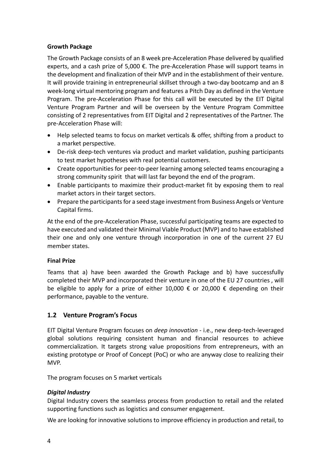#### **Growth Package**

The Growth Package consists of an 8 week pre-Acceleration Phase delivered by qualified experts, and a cash prize of 5,000  $\epsilon$ . The pre-Acceleration Phase will support teams in the development and finalization of their MVP and in the establishment of their venture. It will provide training in entrepreneurial skillset through a two-day bootcamp and an 8 week-long virtual mentoring program and features a Pitch Day as defined in the Venture Program. The pre-Acceleration Phase for this call will be executed by the EIT Digital Venture Program Partner and will be overseen by the Venture Program Committee consisting of 2 representatives from EIT Digital and 2 representatives of the Partner. The pre-Acceleration Phase will:

- Help selected teams to focus on market verticals & offer, shifting from a product to a market perspective.
- De-risk deep-tech ventures via product and market validation, pushing participants to test market hypotheses with real potential customers.
- Create opportunities for peer-to-peer learning among selected teams encouraging a strong community spirit that will last far beyond the end of the program.
- Enable participants to maximize their product-market fit by exposing them to real market actors in their target sectors.
- Prepare the participants for a seed stage investment from Business Angels or Venture Capital firms.

At the end of the pre-Acceleration Phase, successful participating teams are expected to have executed and validated their Minimal Viable Product (MVP) and to have established their one and only one venture through incorporation in one of the current 27 EU member states.

#### **Final Prize**

Teams that a) have been awarded the Growth Package and b) have successfully completed their MVP and incorporated their venture in one of the EU 27 countries , will be eligible to apply for a prize of either 10,000  $\epsilon$  or 20,000  $\epsilon$  depending on their performance, payable to the venture.

#### <span id="page-3-0"></span>**1.2 Venture Program's Focus**

EIT Digital Venture Program focuses on *deep innovation* - i.e., new deep-tech-leveraged global solutions requiring consistent human and financial resources to achieve commercialization. It targets strong value propositions from entrepreneurs, with an existing prototype or Proof of Concept (PoC) or who are anyway close to realizing their MVP.

The program focuses on 5 market verticals

#### *Digital Industry*

Digital Industry covers the seamless process from production to retail and the related supporting functions such as logistics and consumer engagement.

We are looking for innovative solutions to improve efficiency in production and retail, to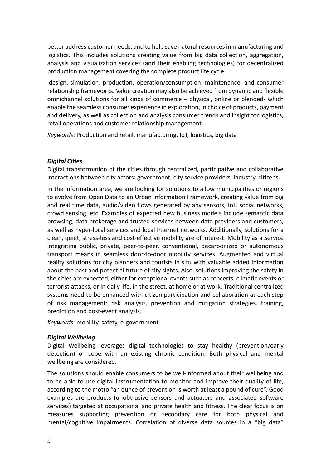better address customer needs, and to help save natural resources in manufacturing and logistics. This includes solutions creating value from big data collection, aggregation, analysis and visualization services (and their enabling technologies) for decentralized production management covering the complete product life cycle:

design, simulation, production, operation/consumption, maintenance, and consumer relationship frameworks. Value creation may also be achieved from dynamic and flexible omnichannel solutions for all kinds of commerce – physical, online or blended- which enable the seamless consumer experience in exploration, in choice of products, payment and delivery, as well as collection and analysis consumer trends and insight for logistics, retail operations and customer relationship management.

*Keywords*: Production and retail, manufacturing, IoT, logistics, big data

#### *Digital Cities*

Digital transformation of the cities through centralized, participative and collaborative interactions between city actors: government, city service providers, industry, citizens.

In the information area, we are looking for solutions to allow municipalities or regions to evolve from Open Data to an Urban Information Framework, creating value from big and real time data, audio/video flows generated by any sensors, IoT, social networks, crowd sensing, etc. Examples of expected new business models include semantic data browsing, data brokerage and trusted services between data providers and customers, as well as hyper-local services and local Internet networks. Additionally, solutions for a clean, quiet, stress-less and cost-effective mobility are of interest. Mobility as a Service integrating public, private, peer-to-peer, conventional, decarbonized or autonomous transport means in seamless door-to-door mobility services. Augmented and virtual reality solutions for city planners and tourists in situ with valuable added information about the past and potential future of city sights. Also, solutions improving the safety in the cities are expected, either for exceptional events such as concerts, climatic events or terrorist attacks, or in daily life, in the street, at home or at work. Traditional centralized systems need to be enhanced with citizen participation and collaboration at each step of risk management: risk analysis, prevention and mitigation strategies, training, prediction and post-event analysis.

*Keywords*: mobility, safety, e-government

#### *Digital Wellbeing*

Digital Wellbeing leverages digital technologies to stay healthy (prevention/early detection) or cope with an existing chronic condition. Both physical and mental wellbeing are considered.

The solutions should enable consumers to be well-informed about their wellbeing and to be able to use digital instrumentation to monitor and improve their quality of life, according to the motto "an ounce of prevention is worth at least a pound of cure". Good examples are products (unobtrusive sensors and actuators and associated software services) targeted at occupational and private health and fitness. The clear focus is on measures supporting prevention or secondary care for both physical and mental/cognitive impairments. Correlation of diverse data sources in a "big data"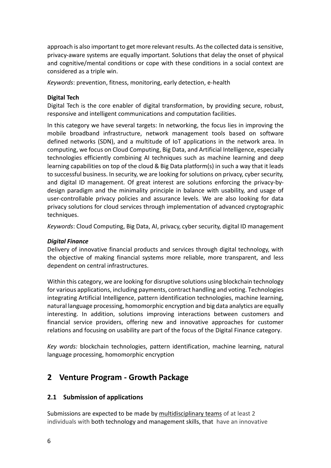approach is also important to get more relevant results. As the collected data is sensitive, privacy-aware systems are equally important. Solutions that delay the onset of physical and cognitive/mental conditions or cope with these conditions in a social context are considered as a triple win.

*Keywords*: prevention, fitness, monitoring, early detection, e-health

#### **Digital Tech**

Digital Tech is the core enabler of digital transformation, by providing secure, robust, responsive and intelligent communications and computation facilities.

In this category we have several targets: In networking, the focus lies in improving the mobile broadband infrastructure, network management tools based on software defined networks (SDN), and a multitude of IoT applications in the network area. In computing, we focus on Cloud Computing, Big Data, and Artificial Intelligence, especially technologies efficiently combining AI techniques such as machine learning and deep learning capabilities on top of the cloud & Big Data platform(s) in such a way that it leads to successful business. In security, we are looking for solutions on privacy, cyber security, and digital ID management. Of great interest are solutions enforcing the privacy-bydesign paradigm and the minimality principle in balance with usability, and usage of user-controllable privacy policies and assurance levels. We are also looking for data privacy solutions for cloud services through implementation of advanced cryptographic techniques.

*Keywords*: Cloud Computing, Big Data, AI, privacy, cyber security, digital ID management

#### *Digital Finance*

Delivery of innovative financial products and services through digital technology, with the objective of making financial systems more reliable, more transparent, and less dependent on central infrastructures.

Within this category, we are looking for disruptive solutions using blockchain technology for various applications, including payments, contract handling and voting. Technologies integrating Artificial Intelligence, pattern identification technologies, machine learning, natural language processing, homomorphic encryption and big data analytics are equally interesting. In addition, solutions improving interactions between customers and financial service providers, offering new and innovative approaches for customer relations and focusing on usability are part of the focus of the Digital Finance category.

*Key words:* blockchain technologies, pattern identification, machine learning, natural language processing, homomorphic encryption

# <span id="page-5-0"></span>**2 Venture Program - Growth Package**

#### <span id="page-5-1"></span>**2.1 Submission of applications**

Submissions are expected to be made by multidisciplinary teams of at least 2 individuals with both technology and management skills, that have an innovative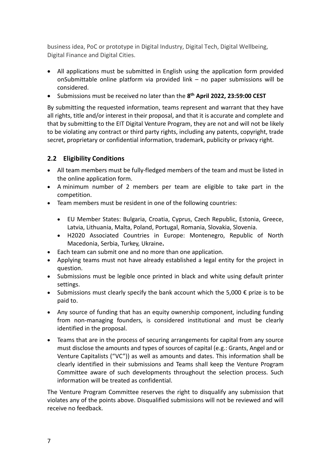business idea, PoC or prototype in Digital Industry, Digital Tech, Digital Wellbeing, Digital Finance and Digital Cities.

- All applications must be submitted in English using the application form provided onSubmittable online platform via provided link – no paper submissions will be considered.
- Submissions must be received no later than the **8 th April 2022, 23:59:00 CEST**

By submitting the requested information, teams represent and warrant that they have all rights, title and/or interest in their proposal, and that it is accurate and complete and that by submitting to the EIT Digital Venture Program, they are not and will not be likely to be violating any contract or third party rights, including any patents, copyright, trade secret, proprietary or confidential information, trademark, publicity or privacy right.

### <span id="page-6-0"></span>**2.2 Eligibility Conditions**

- All team members must be fully-fledged members of the team and must be listed in the online application form.
- A minimum number of 2 members per team are eligible to take part in the competition.
- Team members must be resident in one of the following countries:
	- EU Member States: Bulgaria, Croatia, Cyprus, Czech Republic, Estonia, Greece, Latvia, Lithuania, Malta, Poland, Portugal, Romania, Slovakia, Slovenia.
	- H2020 Associated Countries in Europe: Montenegro, Republic of North Macedonia, Serbia, Turkey, Ukraine**.**
- Each team can submit one and no more than one application.
- Applying teams must not have already established a legal entity for the project in question.
- Submissions must be legible once printed in black and white using default printer settings.
- Submissions must clearly specify the bank account which the 5,000  $\epsilon$  prize is to be paid to.
- Any source of funding that has an equity ownership component, including funding from non-managing founders, is considered institutional and must be clearly identified in the proposal.
- Teams that are in the process of securing arrangements for capital from any source must disclose the amounts and types of sources of capital (e.g.: Grants, Angel and or Venture Capitalists ("VC")) as well as amounts and dates. This information shall be clearly identified in their submissions and Teams shall keep the Venture Program Committee aware of such developments throughout the selection process. Such information will be treated as confidential.

The Venture Program Committee reserves the right to disqualify any submission that violates any of the points above. Disqualified submissions will not be reviewed and will receive no feedback.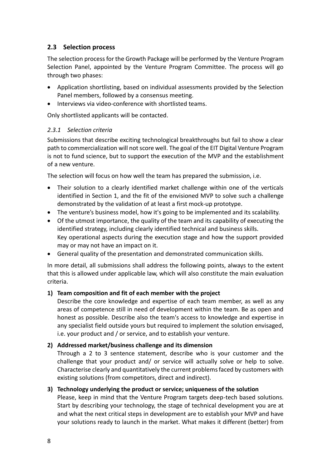### <span id="page-7-0"></span>**2.3 Selection process**

The selection process for the Growth Package will be performed by the Venture Program Selection Panel, appointed by the Venture Program Committee. The process will go through two phases:

- Application shortlisting, based on individual assessments provided by the Selection Panel members, followed by a consensus meeting.
- Interviews via video-conference with shortlisted teams.

Only shortlisted applicants will be contacted.

#### <span id="page-7-1"></span>*2.3.1 Selection criteria*

Submissions that describe exciting technological breakthroughs but fail to show a clear path to commercialization will not score well. The goal of the EIT Digital Venture Program is not to fund science, but to support the execution of the MVP and the establishment of a new venture.

The selection will focus on how well the team has prepared the submission, i.e.

- Their solution to a clearly identified market challenge within one of the verticals identified in Section 1, and the fit of the envisioned MVP to solve such a challenge demonstrated by the validation of at least a first mock-up prototype.
- The venture's business model, how it's going to be implemented and its scalability.
- Of the utmost importance, the quality of the team and its capability of executing the identified strategy, including clearly identified technical and business skills. Key operational aspects during the execution stage and how the support provided may or may not have an impact on it.
- General quality of the presentation and demonstrated communication skills.

In more detail, all submissions shall address the following points, always to the extent that this is allowed under applicable law, which will also constitute the main evaluation criteria.

#### **1) Team composition and fit of each member with the project**

Describe the core knowledge and expertise of each team member, as well as any areas of competence still in need of development within the team. Be as open and honest as possible. Describe also the team's access to knowledge and expertise in any specialist field outside yours but required to implement the solution envisaged, i.e. your product and / or service, and to establish your venture.

#### **2) Addressed market/business challenge and its dimension**

Through a 2 to 3 sentence statement, describe who is your customer and the challenge that your product and/ or service will actually solve or help to solve. Characterise clearly and quantitatively the current problems faced by customers with existing solutions (from competitors, direct and indirect).

#### **3) Technology underlying the product or service; uniqueness of the solution**

Please, keep in mind that the Venture Program targets deep-tech based solutions. Start by describing your technology, the stage of technical development you are at and what the next critical steps in development are to establish your MVP and have your solutions ready to launch in the market. What makes it different (better) from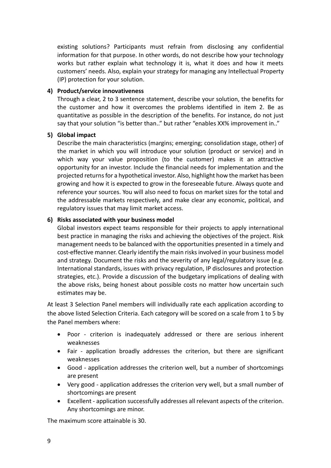existing solutions? Participants must refrain from disclosing any confidential information for that purpose. In other words, do not describe how your technology works but rather explain what technology it is, what it does and how it meets customers' needs. Also, explain your strategy for managing any Intellectual Property (IP) protection for your solution.

#### **4) Product/service innovativeness**

Through a clear, 2 to 3 sentence statement, describe your solution, the benefits for the customer and how it overcomes the problems identified in item 2. Be as quantitative as possible in the description of the benefits. For instance, do not just say that your solution "is better than.." but rather "enables XX% improvement in.."

#### **5) Global impact**

Describe the main characteristics (margins; emerging; consolidation stage, other) of the market in which you will introduce your solution (product or service) and in which way your value proposition (to the customer) makes it an attractive opportunity for an investor. Include the financial needs for implementation and the projected returns for a hypothetical investor. Also, highlight how the market has been growing and how it is expected to grow in the foreseeable future. Always quote and reference your sources. You will also need to focus on market sizes for the total and the addressable markets respectively, and make clear any economic, political, and regulatory issues that may limit market access.

#### **6) Risks associated with your business model**

Global investors expect teams responsible for their projects to apply international best practice in managing the risks and achieving the objectives of the project. Risk management needs to be balanced with the opportunities presented in a timely and cost-effective manner. Clearly identify the main risks involved in your business model and strategy. Document the risks and the severity of any legal/regulatory issue (e.g. International standards, issues with privacy regulation, IP disclosures and protection strategies, etc.). Provide a discussion of the budgetary implications of dealing with the above risks, being honest about possible costs no matter how uncertain such estimates may be.

At least 3 Selection Panel members will individually rate each application according to the above listed Selection Criteria. Each category will be scored on a scale from 1 to 5 by the Panel members where:

- Poor criterion is inadequately addressed or there are serious inherent weaknesses
- Fair application broadly addresses the criterion, but there are significant weaknesses
- Good application addresses the criterion well, but a number of shortcomings are present
- Very good application addresses the criterion very well, but a small number of shortcomings are present
- Excellent application successfully addresses all relevant aspects of the criterion. Any shortcomings are minor.

The maximum score attainable is 30.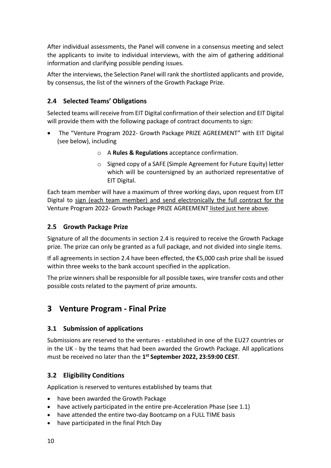After individual assessments, the Panel will convene in a consensus meeting and select the applicants to invite to individual interviews, with the aim of gathering additional information and clarifying possible pending issues.

After the interviews, the Selection Panel will rank the shortlisted applicants and provide, by consensus, the list of the winners of the Growth Package Prize.

## <span id="page-9-0"></span>**2.4 Selected Teams' Obligations**

Selected teams will receive from EIT Digital confirmation of their selection and EIT Digital will provide them with the following package of contract documents to sign:

- The "Venture Program 2022- Growth Package PRIZE AGREEMENT" with EIT Digital (see below), including
	- o A **Rules & Regulations** acceptance confirmation.
	- o Signed copy of a SAFE (Simple Agreement for Future Equity) letter which will be countersigned by an authorized representative of EIT Digital.

Each team member will have a maximum of three working days, upon request from EIT Digital to sign (each team member) and send electronically the full contract for the Venture Program 2022- Growth Package PRIZE AGREEMENT listed just here above.

### <span id="page-9-1"></span>**2.5 Growth Package Prize**

Signature of all the documents in section 2.4 is required to receive the Growth Package prize. The prize can only be granted as a full package, and not divided into single items.

If all agreements in section 2.4 have been effected, the €5,000 cash prize shall be issued within three weeks to the bank account specified in the application.

The prize winners shall be responsible for all possible taxes, wire transfer costs and other possible costs related to the payment of prize amounts.

## <span id="page-9-2"></span>**3 Venture Program - Final Prize**

### <span id="page-9-3"></span>**3.1 Submission of applications**

Submissions are reserved to the ventures - established in one of the EU27 countries or in the UK - by the teams that had been awarded the Growth Package. All applications must be received no later than the **1 st September 2022, 23:59:00 CEST**.

### <span id="page-9-4"></span>**3.2 Eligibility Conditions**

Application is reserved to ventures established by teams that

- have been awarded the Growth Package
- have actively participated in the entire pre-Acceleration Phase (see 1.1)
- have attended the entire two-day Bootcamp on a FULL TIME basis
- have participated in the final Pitch Day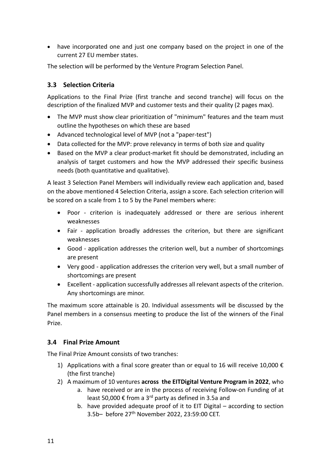• have incorporated one and just one company based on the project in one of the current 27 EU member states.

The selection will be performed by the Venture Program Selection Panel.

### <span id="page-10-0"></span>**3.3 Selection Criteria**

Applications to the Final Prize (first tranche and second tranche) will focus on the description of the finalized MVP and customer tests and their quality (2 pages max).

- The MVP must show clear prioritization of "minimum" features and the team must outline the hypotheses on which these are based
- Advanced technological level of MVP (not a "paper-test")
- Data collected for the MVP: prove relevancy in terms of both size and quality
- Based on the MVP a clear product-market fit should be demonstrated, including an analysis of target customers and how the MVP addressed their specific business needs (both quantitative and qualitative).

A least 3 Selection Panel Members will individually review each application and, based on the above mentioned 4 Selection Criteria, assign a score. Each selection criterion will be scored on a scale from 1 to 5 by the Panel members where:

- Poor criterion is inadequately addressed or there are serious inherent weaknesses
- Fair application broadly addresses the criterion, but there are significant weaknesses
- Good application addresses the criterion well, but a number of shortcomings are present
- Very good application addresses the criterion very well, but a small number of shortcomings are present
- Excellent application successfully addresses all relevant aspects of the criterion. Any shortcomings are minor.

The maximum score attainable is 20. Individual assessments will be discussed by the Panel members in a consensus meeting to produce the list of the winners of the Final Prize.

### <span id="page-10-1"></span>**3.4 Final Prize Amount**

The Final Prize Amount consists of two tranches:

- 1) Applications with a final score greater than or equal to 16 will receive 10,000  $\epsilon$ (the first tranche)
- 2) A maximum of 10 ventures **across the EITDigital Venture Program in 2022**, who
	- a. have received or are in the process of receiving Follow-on Funding of at least 50,000  $\epsilon$  from a 3<sup>rd</sup> party as defined in 3.5a and
	- b. have provided adequate proof of it to EIT Digital according to section 3.5b– before 27th November 2022, 23:59:00 CET.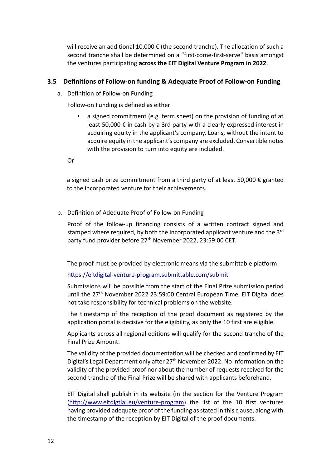will receive an additional 10,000 € (the second tranche). The allocation of such a second tranche shall be determined on a "first-come-first-serve" basis amongst the ventures participating **across the EIT Digital Venture Program in 2022**.

### <span id="page-11-0"></span>**3.5 Definitions of Follow-on funding & Adequate Proof of Follow-on Funding**

a. Definition of Follow-on Funding

Follow-on Funding is defined as either

• a signed commitment (e.g. term sheet) on the provision of funding of at least 50,000 € in cash by a 3rd party with a clearly expressed interest in acquiring equity in the applicant's company. Loans, without the intent to acquire equity in the applicant's company are excluded. Convertible notes with the provision to turn into equity are included.

Or

a signed cash prize commitment from a third party of at least 50,000  $\epsilon$  granted to the incorporated venture for their achievements.

b. Definition of Adequate Proof of Follow-on Funding

Proof of the follow-up financing consists of a written contract signed and stamped where required, by both the incorporated applicant venture and the 3<sup>rd</sup> party fund provider before 27<sup>th</sup> November 2022, 23:59:00 CET.

The proof must be provided by electronic means via the submittable platform:

<https://eitdigital-venture-program.submittable.com/submit>

Submissions will be possible from the start of the Final Prize submission period until the 27<sup>th</sup> November 2022 23:59:00 Central European Time. EIT Digital does not take responsibility for technical problems on the website.

The timestamp of the reception of the proof document as registered by the application portal is decisive for the eligibility, as only the 10 first are eligible.

Applicants across all regional editions will qualify for the second tranche of the Final Prize Amount.

The validity of the provided documentation will be checked and confirmed by EIT Digital's Legal Department only after 27<sup>th</sup> November 2022. No information on the validity of the provided proof nor about the number of requests received for the second tranche of the Final Prize will be shared with applicants beforehand.

EIT Digital shall publish in its website (in the section for the Venture Program [\(http://www.eitdigtial.eu/venture-program\)](http://www.eitdigtial.eu/venture-program) the list of the 10 first ventures having provided adequate proof of the funding as stated in this clause, along with the timestamp of the reception by EIT Digital of the proof documents.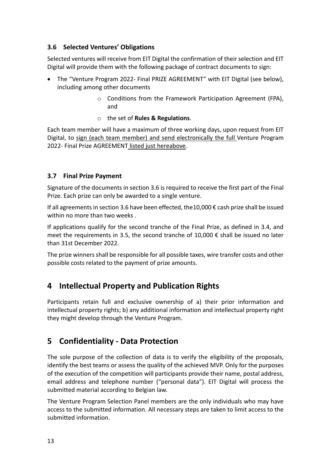### <span id="page-12-0"></span>**3.6 Selected Ventures' Obligations**

Selected ventures will receive from EIT Digital the confirmation of their selection and EIT Digital will provide them with the following package of contract documents to sign:

- The "Venture Program 2022- Final PRIZE AGREEMENT" with EIT Digital (see below), including among other documents
	- o Conditions from the Framework Participation Agreement (FPA), and
	- o the set of **Rules & Regulations**.

Each team member will have a maximum of three working days, upon request from EIT Digital, to sign (each team member) and send electronically the full Venture Program 2022- Final Prize AGREEMENT listed just hereabove.

### <span id="page-12-1"></span>**3.7 Final Prize Payment**

Signature of the documents in section 3.6 is required to receive the first part of the Final Prize. Each prize can only be awarded to a single venture.

If all agreements in section 3.6 have been effected, the 10,000  $\epsilon$  cash prize shall be issued within no more than two weeks .

If applications qualify for the second tranche of the Final Prize, as defined in 3.4, and meet the requirements in 3.5, the second tranche of 10,000  $\epsilon$  shall be issued no later than 31st December 2022.

The prize winners shall be responsible for all possible taxes, wire transfer costs and other possible costs related to the payment of prize amounts.

# <span id="page-12-2"></span>**4 Intellectual Property and Publication Rights**

Participants retain full and exclusive ownership of a) their prior information and intellectual property rights; b) any additional information and intellectual property right they might develop through the Venture Program.

# <span id="page-12-3"></span>**5 Confidentiality - Data Protection**

The sole purpose of the collection of data is to verify the eligibility of the proposals, identify the best teams or assess the quality of the achieved MVP. Only for the purposes of the execution of the competition will participants provide their name, postal address, email address and telephone number ("personal data"). EIT Digital will process the submitted material according to Belgian law.

The Venture Program Selection Panel members are the only individuals who may have access to the submitted information. All necessary steps are taken to limit access to the submitted information.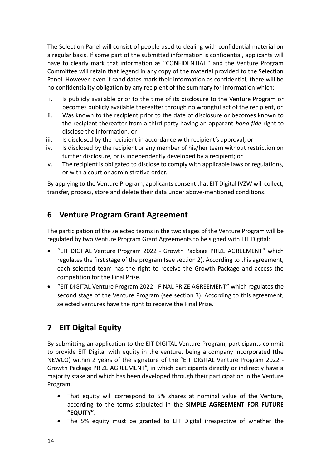The Selection Panel will consist of people used to dealing with confidential material on a regular basis. If some part of the submitted information is confidential, applicants will have to clearly mark that information as "CONFIDENTIAL," and the Venture Program Committee will retain that legend in any copy of the material provided to the Selection Panel. However, even if candidates mark their information as confidential, there will be no confidentiality obligation by any recipient of the summary for information which:

- i. Is publicly available prior to the time of its disclosure to the Venture Program or becomes publicly available thereafter through no wrongful act of the recipient, or
- ii. Was known to the recipient prior to the date of disclosure or becomes known to the recipient thereafter from a third party having an apparent *bona fide* right to disclose the information, or
- iii. Is disclosed by the recipient in accordance with recipient's approval, or
- iv. Is disclosed by the recipient or any member of his/her team without restriction on further disclosure, or is independently developed by a recipient; or
- v. The recipient is obligated to disclose to comply with applicable laws or regulations, or with a court or administrative order.

By applying to the Venture Program, applicants consent that EIT Digital IVZW will collect, transfer, process, store and delete their data under above-mentioned conditions.

# <span id="page-13-0"></span>**6 Venture Program Grant Agreement**

The participation of the selected teams in the two stages of the Venture Program will be regulated by two Venture Program Grant Agreements to be signed with EIT Digital:

- "EIT DIGITAL Venture Program 2022 Growth Package PRIZE AGREEMENT" which regulates the first stage of the program (see section 2). According to this agreement, each selected team has the right to receive the Growth Package and access the competition for the Final Prize.
- "EIT DIGITAL Venture Program 2022 FINAL PRIZE AGREEMENT" which regulates the second stage of the Venture Program (see section 3). According to this agreement, selected ventures have the right to receive the Final Prize.

# <span id="page-13-1"></span>**7 EIT Digital Equity**

By submitting an application to the EIT DIGITAL Venture Program, participants commit to provide EIT Digital with equity in the venture, being a company incorporated (the NEWCO) within 2 years of the signature of the "EIT DIGITAL Venture Program 2022 - Growth Package PRIZE AGREEMENT", in which participants directly or indirectly have a majority stake and which has been developed through their participation in the Venture Program.

- That equity will correspond to 5% shares at nominal value of the Venture, according to the terms stipulated in the **SIMPLE AGREEMENT FOR FUTURE "EQUITY"**.
- The 5% equity must be granted to EIT Digital irrespective of whether the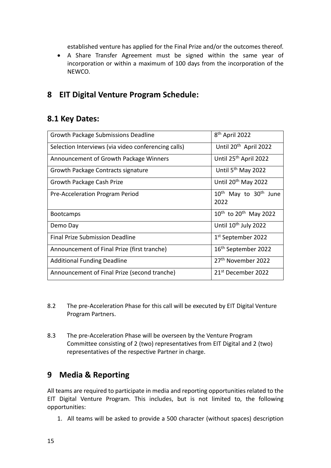established venture has applied for the Final Prize and/or the outcomes thereof.

• A Share Transfer Agreement must be signed within the same year of incorporation or within a maximum of 100 days from the incorporation of the NEWCO.

# <span id="page-14-0"></span>**8 EIT Digital Venture Program Schedule:**

## **8.1 Key Dates:**

| Growth Package Submissions Deadline                 | 8 <sup>th</sup> April 2022                    |  |
|-----------------------------------------------------|-----------------------------------------------|--|
| Selection Interviews (via video conferencing calls) | Until 20 <sup>th</sup> April 2022             |  |
| Announcement of Growth Package Winners              | Until 25 <sup>th</sup> April 2022             |  |
| Growth Package Contracts signature                  | Until 5 <sup>th</sup> May 2022                |  |
| Growth Package Cash Prize                           | Until 20 <sup>th</sup> May 2022               |  |
| Pre-Acceleration Program Period                     | $10^{th}$ May to $30^{th}$ June<br>2022       |  |
| <b>Bootcamps</b>                                    | 10 <sup>th</sup> to 20 <sup>th</sup> May 2022 |  |
| Demo Day                                            | Until 10 <sup>th</sup> July 2022              |  |
| <b>Final Prize Submission Deadline</b>              | 1st September 2022                            |  |
| Announcement of Final Prize (first tranche)         | 16 <sup>th</sup> September 2022               |  |
| <b>Additional Funding Deadline</b>                  | 27 <sup>th</sup> November 2022                |  |
| Announcement of Final Prize (second tranche)        | 21 <sup>st</sup> December 2022                |  |

- 8.2 The pre-Acceleration Phase for this call will be executed by EIT Digital Venture Program Partners.
- 8.3 The pre-Acceleration Phase will be overseen by the Venture Program Committee consisting of 2 (two) representatives from EIT Digital and 2 (two) representatives of the respective Partner in charge.

## <span id="page-14-1"></span>**9 Media & Reporting**

All teams are required to participate in media and reporting opportunities related to the EIT Digital Venture Program. This includes, but is not limited to, the following opportunities:

1. All teams will be asked to provide a 500 character (without spaces) description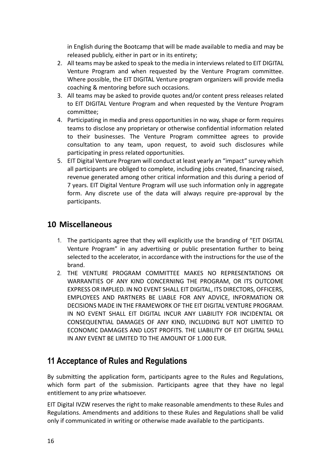in English during the Bootcamp that will be made available to media and may be released publicly, either in part or in its entirety;

- 2. All teams may be asked to speak to the media in interviews related to EIT DIGITAL Venture Program and when requested by the Venture Program committee. Where possible, the EIT DIGITAL Venture program organizers will provide media coaching & mentoring before such occasions.
- 3. All teams may be asked to provide quotes and/or content press releases related to EIT DIGITAL Venture Program and when requested by the Venture Program committee;
- 4. Participating in media and press opportunities in no way, shape or form requires teams to disclose any proprietary or otherwise confidential information related to their businesses. The Venture Program committee agrees to provide consultation to any team, upon request, to avoid such disclosures while participating in press related opportunities.
- 5. EIT Digital Venture Program will conduct at least yearly an "impact" survey which all participants are obliged to complete, including jobs created, financing raised, revenue generated among other critical information and this during a period of 7 years. EIT Digital Venture Program will use such information only in aggregate form. Any discrete use of the data will always require pre-approval by the participants.

# <span id="page-15-0"></span>**10 Miscellaneous**

- 1. The participants agree that they will explicitly use the branding of "EIT DIGITAL Venture Program" in any advertising or public presentation further to being selected to the accelerator, in accordance with the instructions for the use of the brand.
- 2. THE VENTURE PROGRAM COMMITTEE MAKES NO REPRESENTATIONS OR WARRANTIES OF ANY KIND CONCERNING THE PROGRAM, OR ITS OUTCOME EXPRESS OR IMPLIED. IN NO EVENT SHALL EIT DIGITAL, ITS DIRECTORS, OFFICERS, EMPLOYEES AND PARTNERS BE LIABLE FOR ANY ADVICE, INFORMATION OR DECISIONS MADE IN THE FRAMEWORK OF THE EIT DIGITAL VENTURE PROGRAM. IN NO EVENT SHALL EIT DIGITAL INCUR ANY LIABILITY FOR INCIDENTAL OR CONSEQUENTIAL DAMAGES OF ANY KIND, INCLUDING BUT NOT LIMITED TO ECONOMIC DAMAGES AND LOST PROFITS. THE LIABILITY OF EIT DIGITAL SHALL IN ANY EVENT BE LIMITED TO THE AMOUNT OF 1.000 EUR.

# <span id="page-15-1"></span>**11 Acceptance of Rules and Regulations**

By submitting the application form, participants agree to the Rules and Regulations, which form part of the submission. Participants agree that they have no legal entitlement to any prize whatsoever.

EIT Digital IVZW reserves the right to make reasonable amendments to these Rules and Regulations. Amendments and additions to these Rules and Regulations shall be valid only if communicated in writing or otherwise made available to the participants.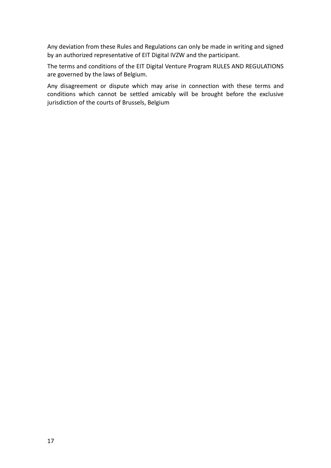Any deviation from these Rules and Regulations can only be made in writing and signed by an authorized representative of EIT Digital IVZW and the participant.

The terms and conditions of the EIT Digital Venture Program RULES AND REGULATIONS are governed by the laws of Belgium.

Any disagreement or dispute which may arise in connection with these terms and conditions which cannot be settled amicably will be brought before the exclusive jurisdiction of the courts of Brussels, Belgium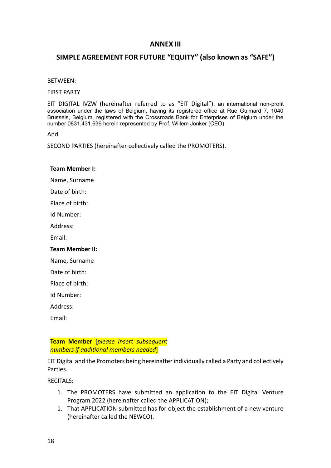### **ANNEX III**

### **SIMPLE AGREEMENT FOR FUTURE "EQUITY" (also known as "SAFE")**

#### BETWEEN:

FIRST PARTY

EIT DIGITAL IVZW (hereinafter referred to as "EIT Digital"), an international non-profit association under the laws of Belgium, having its registered office at Rue Guimard 7, 1040 Brussels, Belgium, registered with the Crossroads Bank for Enterprises of Belgium under the number 0831.431.639 herein represented by Prof. Willem Jonker (CEO)

And

SECOND PARTIES (hereinafter collectively called the PROMOTERS).

#### **Team Member I:**

Name, Surname

Date of birth:

Place of birth:

Id Number:

Address:

Email:

#### **Team Member II:**

Name, Surname

Date of birth:

Place of birth:

Id Number:

Address:

Email:

**Team Member** [*please insert subsequent numbers if additional members needed*]

EIT Digital and the Promoters being hereinafter individually called a Party and collectively Parties.

RECITALS:

- 1. The PROMOTERS have submitted an application to the EIT Digital Venture Program 2022 (hereinafter called the APPLICATION);
- 1. That APPLICATION submitted has for object the establishment of a new venture (hereinafter called the NEWCO).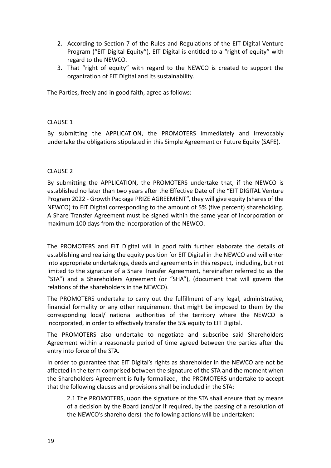- 2. According to Section 7 of the Rules and Regulations of the EIT Digital Venture Program ("EIT Digital Equity"), EIT Digital is entitled to a "right of equity" with regard to the NEWCO.
- 3. That "right of equity" with regard to the NEWCO is created to support the organization of EIT Digital and its sustainability.

The Parties, freely and in good faith, agree as follows:

#### CLAUSE 1

By submitting the APPLICATION, the PROMOTERS immediately and irrevocably undertake the obligations stipulated in this Simple Agreement or Future Equity (SAFE).

#### CLAUSE 2

By submitting the APPLICATION, the PROMOTERS undertake that, if the NEWCO is established no later than two years after the Effective Date of the "EIT DIGITAL Venture Program 2022 - Growth Package PRIZE AGREEMENT", they will give equity (shares of the NEWCO) to EIT Digital corresponding to the amount of 5% (five percent) shareholding. A Share Transfer Agreement must be signed within the same year of incorporation or maximum 100 days from the incorporation of the NEWCO.

The PROMOTERS and EIT Digital will in good faith further elaborate the details of establishing and realizing the equity position for EIT Digital in the NEWCO and will enter into appropriate undertakings, deeds and agreements in this respect, including, but not limited to the signature of a Share Transfer Agreement, hereinafter referred to as the "STA") and a Shareholders Agreement (or "SHA"), (document that will govern the relations of the shareholders in the NEWCO).

The PROMOTERS undertake to carry out the fulfillment of any legal, administrative, financial formality or any other requirement that might be imposed to them by the corresponding local/ national authorities of the territory where the NEWCO is incorporated, in order to effectively transfer the 5% equity to EIT Digital.

The PROMOTERS also undertake to negotiate and subscribe said Shareholders Agreement within a reasonable period of time agreed between the parties after the entry into force of the STA.

In order to guarantee that EIT Digital's rights as shareholder in the NEWCO are not be affected in the term comprised between the signature of the STA and the moment when the Shareholders Agreement is fully formalized, the PROMOTERS undertake to accept that the following clauses and provisions shall be included in the STA:

2.1 The PROMOTERS, upon the signature of the STA shall ensure that by means of a decision by the Board (and/or if required, by the passing of a resolution of the NEWCO's shareholders) the following actions will be undertaken: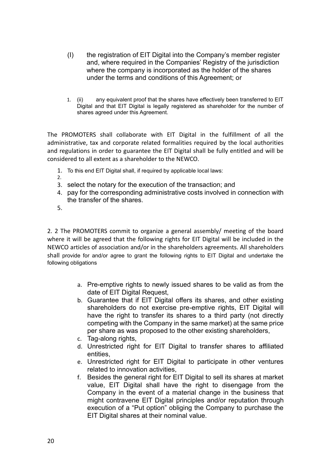- (I) the registration of EIT Digital into the Company's member register and, where required in the Companies' Registry of the jurisdiction where the company is incorporated as the holder of the shares under the terms and conditions of this Agreement; or
- 1. (ii) any equivalent proof that the shares have effectively been transferred to EIT Digital and that EIT Digital is legally registered as shareholder for the number of shares agreed under this Agreement.

The PROMOTERS shall collaborate with EIT Digital in the fulfillment of all the administrative, tax and corporate related formalities required by the local authorities and regulations in order to guarantee the EIT Digital shall be fully entitled and will be considered to all extent as a shareholder to the NEWCO.

- 1. To this end EIT Digital shall, if required by applicable local laws:
- 2.
- 3. select the notary for the execution of the transaction; and
- 4. pay for the corresponding administrative costs involved in connection with the transfer of the shares.
- 5.

2. 2 The PROMOTERS commit to organize a general assembly/ meeting of the board where it will be agreed that the following rights for EIT Digital will be included in the NEWCO articles of association and/or in the shareholders agreements. All shareholders shall provide for and/or agree to grant the following rights to EIT Digital and undertake the following obligations

- a. Pre-emptive rights to newly issued shares to be valid as from the date of EIT Digital Request,
- b. Guarantee that if EIT Digital offers its shares, and other existing shareholders do not exercise pre-emptive rights, EIT Digital will have the right to transfer its shares to a third party (not directly competing with the Company in the same market) at the same price per share as was proposed to the other existing shareholders,
- c. Tag-along rights,
- d. Unrestricted right for EIT Digital to transfer shares to affiliated entities,
- e. Unrestricted right for EIT Digital to participate in other ventures related to innovation activities,
- f. Besides the general right for EIT Digital to sell its shares at market value, EIT Digital shall have the right to disengage from the Company in the event of a material change in the business that might contravene EIT Digital principles and/or reputation through execution of a "Put option" obliging the Company to purchase the EIT Digital shares at their nominal value.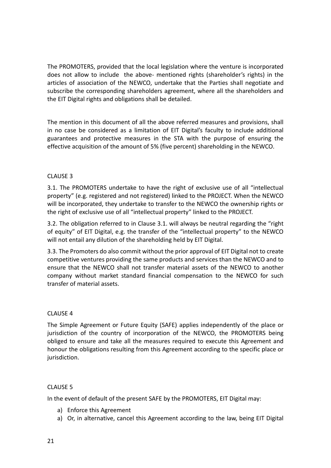The PROMOTERS, provided that the local legislation where the venture is incorporated does not allow to include the above- mentioned rights (shareholder's rights) in the articles of association of the NEWCO, undertake that the Parties shall negotiate and subscribe the corresponding shareholders agreement, where all the shareholders and the EIT Digital rights and obligations shall be detailed.

The mention in this document of all the above referred measures and provisions, shall in no case be considered as a limitation of EIT Digital's faculty to include additional guarantees and protective measures in the STA with the purpose of ensuring the effective acquisition of the amount of 5% (five percent) shareholding in the NEWCO.

#### CLAUSE 3

3.1. The PROMOTERS undertake to have the right of exclusive use of all "intellectual property" (e.g. registered and not registered) linked to the PROJECT. When the NEWCO will be incorporated, they undertake to transfer to the NEWCO the ownership rights or the right of exclusive use of all "intellectual property" linked to the PROJECT.

3.2. The obligation referred to in Clause 3.1. will always be neutral regarding the "right of equity" of EIT Digital, e.g. the transfer of the "intellectual property" to the NEWCO will not entail any dilution of the shareholding held by EIT Digital.

3.3. The Promoters do also commit without the prior approval of EIT Digital not to create competitive ventures providing the same products and services than the NEWCO and to ensure that the NEWCO shall not transfer material assets of the NEWCO to another company without market standard financial compensation to the NEWCO for such transfer of material assets.

#### CLAUSE 4

The Simple Agreement or Future Equity (SAFE) applies independently of the place or jurisdiction of the country of incorporation of the NEWCO, the PROMOTERS being obliged to ensure and take all the measures required to execute this Agreement and honour the obligations resulting from this Agreement according to the specific place or jurisdiction.

#### CLAUSE 5

In the event of default of the present SAFE by the PROMOTERS, EIT Digital may:

- a) Enforce this Agreement
- a) Or, in alternative, cancel this Agreement according to the law, being EIT Digital